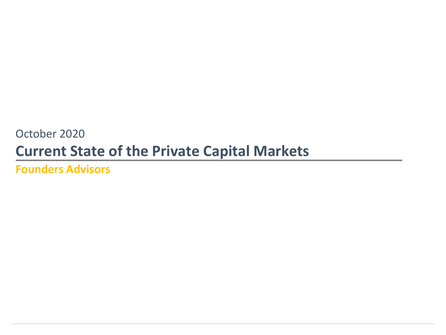## October 2020 **Current State of the Private Capital Markets**

**Founders Advisors**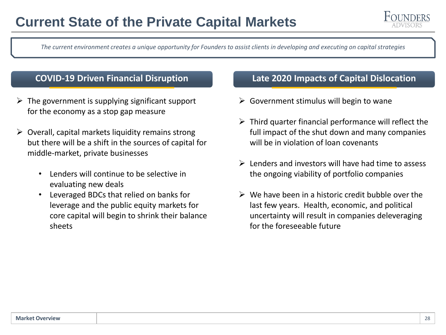

*The current environment creates a unique opportunity for Founders to assist clients in developing and executing on capital strategies*

- $\triangleright$  The government is supplying significant support for the economy as a stop gap measure
- $\triangleright$  Overall, capital markets liquidity remains strong but there will be a shift in the sources of capital for middle-market, private businesses
	- Lenders will continue to be selective in evaluating new deals
	- Leveraged BDCs that relied on banks for leverage and the public equity markets for core capital will begin to shrink their balance sheets

### **COVID-19 Driven Financial Disruption Late 2020 Impacts of Capital Dislocation**

- $\triangleright$  Government stimulus will begin to wane
- $\triangleright$  Third quarter financial performance will reflect the full impact of the shut down and many companies will be in violation of loan covenants
- ➢ Lenders and investors will have had time to assess the ongoing viability of portfolio companies
- $\triangleright$  We have been in a historic credit bubble over the last few years. Health, economic, and political uncertainty will result in companies deleveraging for the foreseeable future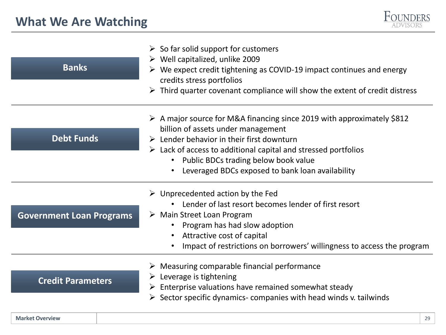

| <b>Banks</b>                    | $\triangleright$ So far solid support for customers<br>$\triangleright$ Well capitalized, unlike 2009<br>$\triangleright$ We expect credit tightening as COVID-19 impact continues and energy<br>credits stress portfolios<br>Third quarter covenant compliance will show the extent of credit distress<br>➤                                                                      |
|---------------------------------|-----------------------------------------------------------------------------------------------------------------------------------------------------------------------------------------------------------------------------------------------------------------------------------------------------------------------------------------------------------------------------------|
| <b>Debt Funds</b>               | $\triangleright$ A major source for M&A financing since 2019 with approximately \$812<br>billion of assets under management<br>$\triangleright$ Lender behavior in their first downturn<br>$\triangleright$ Lack of access to additional capital and stressed portfolios<br>Public BDCs trading below book value<br>$\bullet$<br>Leveraged BDCs exposed to bank loan availability |
| <b>Government Loan Programs</b> | $\triangleright$ Unprecedented action by the Fed<br>Lender of last resort becomes lender of first resort<br>$\triangleright$ Main Street Loan Program<br>Program has had slow adoption<br>Attractive cost of capital<br>Impact of restrictions on borrowers' willingness to access the program                                                                                    |
| <b>Credit Parameters</b>        | $\triangleright$ Measuring comparable financial performance<br>$\triangleright$ Leverage is tightening<br>$\triangleright$ Enterprise valuations have remained somewhat steady<br>$\triangleright$ Sector specific dynamics- companies with head winds v. tailwinds                                                                                                               |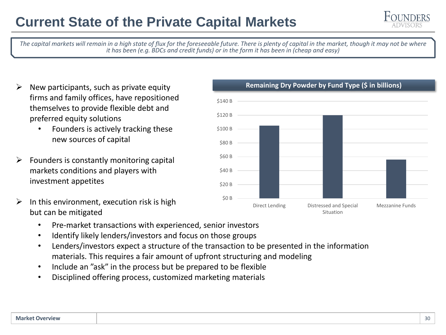

*The capital markets will remain in a high state of flux for the foreseeable future. There is plenty of capital in the market, though it may not be where it has been (e.g. BDCs and credit funds) or in the form it has been in (cheap and easy)*

- ➢ New participants, such as private equity firms and family offices, have repositioned themselves to provide flexible debt and preferred equity solutions
	- Founders is actively tracking these new sources of capital
- $\triangleright$  Founders is constantly monitoring capital markets conditions and players with investment appetites
- $\triangleright$  In this environment, execution risk is high but can be mitigated
	- Pre-market transactions with experienced, senior investors
	- Identify likely lenders/investors and focus on those groups
	- Lenders/investors expect a structure of the transaction to be presented in the information materials. This requires a fair amount of upfront structuring and modeling
	- Include an "ask" in the process but be prepared to be flexible
	- Disciplined offering process, customized marketing materials



#### **Remaining Dry Powder by Fund Type (\$ in billions)**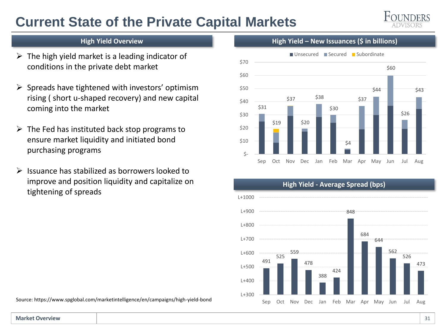## **Current State of the Private Capital Markets**



#### **High Yield Overview**

- $\triangleright$  The high yield market is a leading indicator of conditions in the private debt market
- $\triangleright$  Spreads have tightened with investors' optimism rising ( short u-shaped recovery) and new capital coming into the market
- $\triangleright$  The Fed has instituted back stop programs to ensure market liquidity and initiated bond purchasing programs
- ➢ Issuance has stabilized as borrowers looked to improve and position liquidity and capitalize on tightening of spreads



**High Yield – New Issuances (\$ in billions)**



Source: https://www.spglobal.com/marketintelligence/en/campaigns/high-yield-bond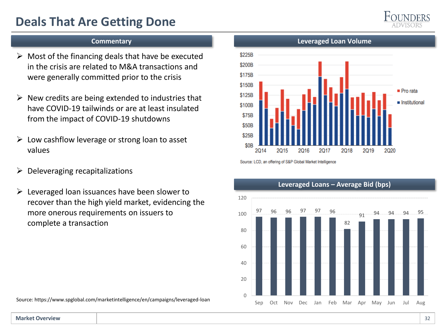## **Deals That Are Getting Done**



#### **Commentary**

- $\triangleright$  Most of the financing deals that have be executed in the crisis are related to M&A transactions and were generally committed prior to the crisis
- $\triangleright$  New credits are being extended to industries that have COVID-19 tailwinds or are at least insulated from the impact of COVID-19 shutdowns
- $\triangleright$  Low cashflow leverage or strong loan to asset values
- $\triangleright$  Deleveraging recapitalizations
- $\triangleright$  Leveraged loan issuances have been slower to recover than the high yield market, evidencing the more onerous requirements on issuers to complete a transaction

Source: https://www.spglobal.com/marketintelligence/en/campaigns/leveraged-loan

\$225B **\$200B** \$175B \$150B  $\blacksquare$  Pro rata \$125B nstitutional \$100B **\$75B** \$50B **\$25B** \$0<sub>B</sub>  $201$ 2015 2016 2017 2018 2019 2020

Source: LCD, an offering of S&P Global Market Intelligence



#### **Leveraged Loan Volume**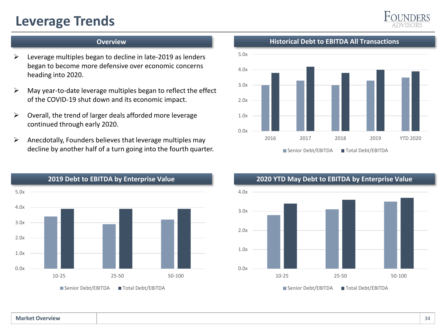## **Leverage Trends**



#### **Overview**

- ➢ Leverage multiples began to decline in late-2019 as lenders began to become more defensive over economic concerns heading into 2020.
- $\triangleright$  May year-to-date leverage multiples began to reflect the effect of the COVID-19 shut down and its economic impact.
- ➢ Overall, the trend of larger deals afforded more leverage continued through early 2020.
- $\triangleright$  Anecdotally, Founders believes that leverage multiples may decline by another half of a turn going into the fourth quarter.



**Historical Debt to EBITDA All Transactions**



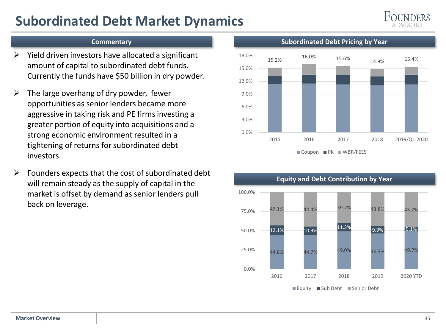## **Subordinated Debt Market Dynamics**



#### **Commentary**

- Yield driven investors have allocated a significant amount of capital to subordinated debt funds. Currently the funds have \$50 billion in dry powder.
- $\triangleright$  The large overhang of dry powder, fewer opportunities as senior lenders became more aggressive in taking risk and PE firms investing a greater portion of equity into acquisitions and a strong economic environment resulted in a tightening of returns for subordinated debt investors.
- $\triangleright$  Founders expects that the cost of subordinated debt will remain steady as the supply of capital in the market is offset by demand as senior lenders pull back on leverage.

#### **Subordinated Debt Pricing by Year**